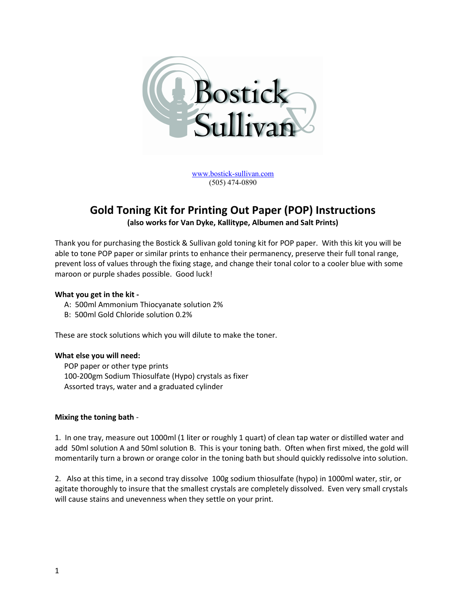

[www.bostick-sullivan.com](http://www.bostick-sullivan.com/) (505) 474-0890

# **Gold Toning Kit for Printing Out Paper (POP) Instructions**

**(also works for Van Dyke, Kallitype, Albumen and Salt Prints)**

Thank you for purchasing the Bostick & Sullivan gold toning kit for POP paper. With this kit you will be able to tone POP paper or similar prints to enhance their permanency, preserve their full tonal range, prevent loss of values through the fixing stage, and change their tonal color to a cooler blue with some maroon or purple shades possible. Good luck!

## **What you get in the kit -**

- A: 500ml Ammonium Thiocyanate solution 2%
- B: 500ml Gold Chloride solution 0.2%

These are stock solutions which you will dilute to make the toner.

#### **What else you will need:**

 POP paper or other type prints 100-200gm Sodium Thiosulfate (Hypo) crystals as fixer Assorted trays, water and a graduated cylinder

#### **Mixing the toning bath** -

1. In one tray, measure out 1000ml (1 liter or roughly 1 quart) of clean tap water or distilled water and add 50ml solution A and 50ml solution B. This is your toning bath. Often when first mixed, the gold will momentarily turn a brown or orange color in the toning bath but should quickly redissolve into solution.

2. Also at this time, in a second tray dissolve 100g sodium thiosulfate (hypo) in 1000ml water, stir, or agitate thoroughly to insure that the smallest crystals are completely dissolved. Even very small crystals will cause stains and unevenness when they settle on your print.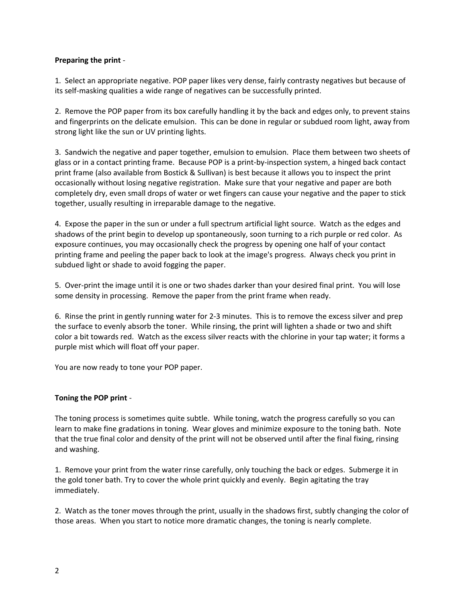#### **Preparing the print** -

1. Select an appropriate negative. POP paper likes very dense, fairly contrasty negatives but because of its self-masking qualities a wide range of negatives can be successfully printed.

2. Remove the POP paper from its box carefully handling it by the back and edges only, to prevent stains and fingerprints on the delicate emulsion. This can be done in regular or subdued room light, away from strong light like the sun or UV printing lights.

3. Sandwich the negative and paper together, emulsion to emulsion. Place them between two sheets of glass or in a contact printing frame. Because POP is a print-by-inspection system, a hinged back contact print frame (also available from Bostick & Sullivan) is best because it allows you to inspect the print occasionally without losing negative registration. Make sure that your negative and paper are both completely dry, even small drops of water or wet fingers can cause your negative and the paper to stick together, usually resulting in irreparable damage to the negative.

4. Expose the paper in the sun or under a full spectrum artificial light source. Watch as the edges and shadows of the print begin to develop up spontaneously, soon turning to a rich purple or red color. As exposure continues, you may occasionally check the progress by opening one half of your contact printing frame and peeling the paper back to look at the image's progress. Always check you print in subdued light or shade to avoid fogging the paper.

5. Over-print the image until it is one or two shades darker than your desired final print. You will lose some density in processing. Remove the paper from the print frame when ready.

6. Rinse the print in gently running water for 2-3 minutes. This is to remove the excess silver and prep the surface to evenly absorb the toner. While rinsing, the print will lighten a shade or two and shift color a bit towards red. Watch as the excess silver reacts with the chlorine in your tap water; it forms a purple mist which will float off your paper.

You are now ready to tone your POP paper.

# **Toning the POP print** -

The toning process is sometimes quite subtle. While toning, watch the progress carefully so you can learn to make fine gradations in toning. Wear gloves and minimize exposure to the toning bath. Note that the true final color and density of the print will not be observed until after the final fixing, rinsing and washing.

1. Remove your print from the water rinse carefully, only touching the back or edges. Submerge it in the gold toner bath. Try to cover the whole print quickly and evenly. Begin agitating the tray immediately.

2. Watch as the toner moves through the print, usually in the shadows first, subtly changing the color of those areas. When you start to notice more dramatic changes, the toning is nearly complete.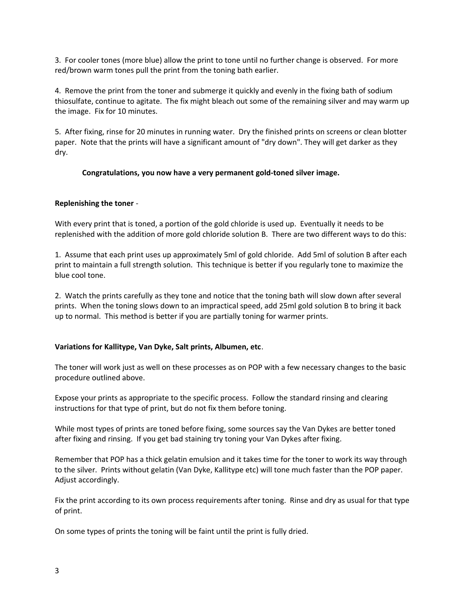3. For cooler tones (more blue) allow the print to tone until no further change is observed. For more red/brown warm tones pull the print from the toning bath earlier.

4. Remove the print from the toner and submerge it quickly and evenly in the fixing bath of sodium thiosulfate, continue to agitate. The fix might bleach out some of the remaining silver and may warm up the image. Fix for 10 minutes.

5. After fixing, rinse for 20 minutes in running water. Dry the finished prints on screens or clean blotter paper. Note that the prints will have a significant amount of "dry down". They will get darker as they dry.

#### **Congratulations, you now have a very permanent gold-toned silver image.**

## **Replenishing the toner** -

With every print that is toned, a portion of the gold chloride is used up. Eventually it needs to be replenished with the addition of more gold chloride solution B. There are two different ways to do this:

1. Assume that each print uses up approximately 5ml of gold chloride. Add 5ml of solution B after each print to maintain a full strength solution. This technique is better if you regularly tone to maximize the blue cool tone.

2. Watch the prints carefully as they tone and notice that the toning bath will slow down after several prints. When the toning slows down to an impractical speed, add 25ml gold solution B to bring it back up to normal. This method is better if you are partially toning for warmer prints.

#### **Variations for Kallitype, Van Dyke, Salt prints, Albumen, etc**.

The toner will work just as well on these processes as on POP with a few necessary changes to the basic procedure outlined above.

Expose your prints as appropriate to the specific process. Follow the standard rinsing and clearing instructions for that type of print, but do not fix them before toning.

While most types of prints are toned before fixing, some sources say the Van Dykes are better toned after fixing and rinsing. If you get bad staining try toning your Van Dykes after fixing.

Remember that POP has a thick gelatin emulsion and it takes time for the toner to work its way through to the silver. Prints without gelatin (Van Dyke, Kallitype etc) will tone much faster than the POP paper. Adjust accordingly.

Fix the print according to its own process requirements after toning. Rinse and dry as usual for that type of print.

On some types of prints the toning will be faint until the print is fully dried.